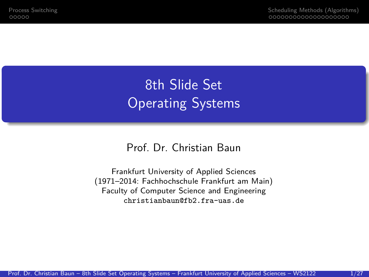8th Slide Set **Operating Systems** 

#### Prof. Dr. Christian Baun

Frankfurt University of Applied Sciences (1971–2014: Fachhochschule Frankfurt am Main) Faculty of Computer Science and Engineering christianbaun@fb2.fra-uas.de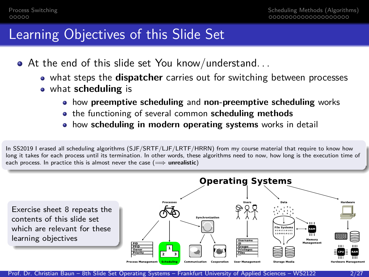#### Learning Objectives of this Slide Set

- At the end of this slide set You know/understand. . .
	- what steps the **dispatcher** carries out for switching between processes
	- what **scheduling** is
		- how **preemptive scheduling** and **non-preemptive scheduling** works
		- **•** the functioning of several common **scheduling methods**
		- how **scheduling in modern operating systems** works in detail

In SS2019 I erased all scheduling algorithms (SJF/SRTF/LJF/LRTF/HRRN) from my course material that require to know how long it takes for each process until its termination. In other words, these algorithms need to now, how long is the execution time of each process. In practice this is almost never the case (<del>=</del> unrealistic)

**Operating Systems** Processe Exercise sheet 8 repeats the contents of this slide set Synchronizatio which are relevant for these **Te System** ......... 110001011 learning objectives Homen Management

Prof. Dr. Christian Baun – 8th Slide Set Operating Systems – Frankfurt University of Applied Sciences – WS2122 2/27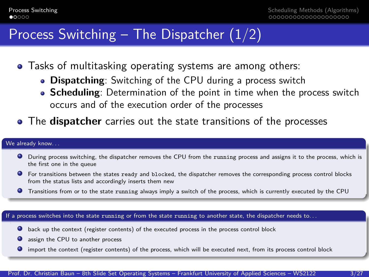### <span id="page-2-0"></span>Process Switching – The Dispatcher  $(1/2)$

- Tasks of multitasking operating systems are among others:
	- **Dispatching**: Switching of the CPU during a process switch
	- **Scheduling**: Determination of the point in time when the process switch occurs and of the execution order of the processes
- The **dispatcher** carries out the state transitions of the processes

#### We already know...

- During process switching, the dispatcher removes the CPU from the running process and assigns it to the process, which is the first one in the queue
- For transitions between the states ready and blocked, the dispatcher removes the corresponding process control blocks from the status lists and accordingly inserts them new
- Transitions from or to the state running always imply a switch of the process, which is currently executed by the CPU

#### If a process switches into the state running or from the state running to another state, the dispatcher needs to. . .

- back up the context (register contents) of the executed process in the process control block
- **Q** assign the CPU to another process
- $\bullet$ import the context (register contents) of the process, which will be executed next, from its process control block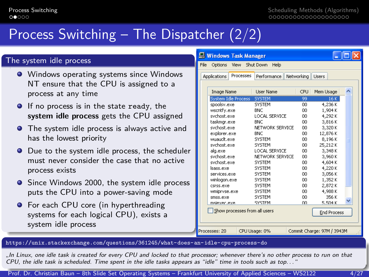# Process Switching – The Dispatcher (2/2)

#### The system idle process

- **•** Windows operating systems since Windows NT ensure that the CPU is assigned to a process at any time
- **O** If no process is in the state ready, the **system idle process** gets the CPU assigned
- **•** The system idle process is always active and has the lowest priority
- Due to the system idle process, the scheduler must never consider the case that no active process exists
- Since Windows 2000, the system idle process puts the CPU into a power-saving mode
- **•** For each CPU core (in hyperthreading systems for each logical CPU), exists a system idle process

|      | <b>E</b> Windows Task Manager                       |                      |            |                            |  |  |  |  |
|------|-----------------------------------------------------|----------------------|------------|----------------------------|--|--|--|--|
| File | View Shut Down<br>Options                           | Help                 |            |                            |  |  |  |  |
|      | Processes<br>Applications                           | Performance          | Networking | Lisers                     |  |  |  |  |
|      |                                                     |                      |            |                            |  |  |  |  |
|      | Image Name                                          | Liser Name           | CPLI       | Mem Usage                  |  |  |  |  |
|      | System Idle Process SYSTEM                          |                      | 99         | 16K                        |  |  |  |  |
|      | spoolsv.exe                                         | <b>SYSTEM</b>        | 00         | 4,236K                     |  |  |  |  |
|      | wscntfy.exe                                         | <b>BNC</b>           | 00         | 1.904K                     |  |  |  |  |
|      | svchost.exe                                         | <b>LOCAL SERVICE</b> | 00         | 4.292K                     |  |  |  |  |
|      | taskmgr.exe                                         | <b>BNC</b>           | nn         | 3.816K                     |  |  |  |  |
|      | svchost.exe                                         | NETWORK SERVICE      | 00         | 3,320K                     |  |  |  |  |
|      | explorer.exe                                        | <b>BNC</b>           | 00         | 12,876K                    |  |  |  |  |
|      | wuauclt.exe                                         | <b>SYSTEM</b>        | 00         | 8.196K                     |  |  |  |  |
|      | svchost.exe                                         | <b>SYSTEM</b>        | 00         | 25.212K                    |  |  |  |  |
|      | alg.exe                                             | <b>LOCAL SERVICE</b> | 00         | 3.348K                     |  |  |  |  |
|      | sychost.exe                                         | NETWORK SERVICE      | nn         | 3.960K                     |  |  |  |  |
|      | sychost.exe                                         | SYSTEM               | nn         | 4,604K                     |  |  |  |  |
|      | Isass.exe                                           | <b>SYSTEM</b>        | 00         | 4,220K                     |  |  |  |  |
|      | services.exe                                        | <b>SYSTEM</b>        | 00         | 3.056K                     |  |  |  |  |
|      | winlogon.exe                                        | <b>SYSTEM</b>        | 00         | 1.352K                     |  |  |  |  |
|      | csrss.exe                                           | <b>SYSTEM</b>        | 00         | 2,872K                     |  |  |  |  |
|      | wmipryse.exe                                        | <b>SYSTEM</b>        | nn         | 4.988K                     |  |  |  |  |
|      | smss.exe                                            | SYSTEM               | nn         | 356 K                      |  |  |  |  |
|      | msjexer.exe                                         | SYSTEM               | nn         | 5.504K                     |  |  |  |  |
|      | Show processes from all users<br><b>End Process</b> |                      |            |                            |  |  |  |  |
|      | Processes: 20                                       | CPU Usage: 0%        |            | Commit Charge: 97M / 3943M |  |  |  |  |

#### <https://unix.stackexchange.com/questions/361245/what-does-an-idle-cpu-process-do>

"In Linux, one idle task is created for every CPU and locked to that processor; whenever there's no other process to run on that CPU, the idle task is scheduled. Time spent in the idle tasks appears as "idle" time in tools such as top. . . "

Prof. Dr. Christian Baun – 8th Slide Set Operating Systems – Frankfurt University of Applied Sciences – WS2122 4/27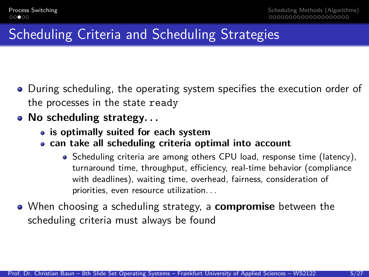# Scheduling Criteria and Scheduling Strategies

- During scheduling, the operating system specifies the execution order of the processes in the state ready
- **No scheduling strategy. . .**
	- **is optimally suited for each system**
	- **can take all scheduling criteria optimal into account**
		- Scheduling criteria are among others CPU load, response time (latency), turnaround time, throughput, efficiency, real-time behavior (compliance with deadlines), waiting time, overhead, fairness, consideration of priorities, even resource utilization. . .
- When choosing a scheduling strategy, a **compromise** between the scheduling criteria must always be found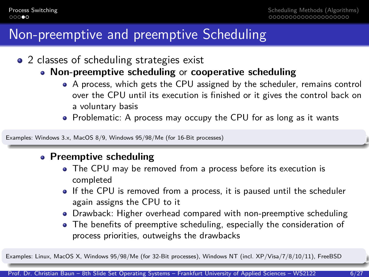#### Non-preemptive and preemptive Scheduling

- 2 classes of scheduling strategies exist
	- **Non-preemptive scheduling** or **cooperative scheduling**
		- A process, which gets the CPU assigned by the scheduler, remains control over the CPU until its execution is finished or it gives the control back on a voluntary basis
		- Problematic: A process may occupy the CPU for as long as it wants

Examples: Windows 3.x, MacOS 8/9, Windows 95/98/Me (for 16-Bit processes)

#### **Preemptive scheduling**

- The CPU may be removed from a process before its execution is completed
- If the CPU is removed from a process, it is paused until the scheduler again assigns the CPU to it
- Drawback: Higher overhead compared with non-preemptive scheduling
- The benefits of preemptive scheduling, especially the consideration of process priorities, outweighs the drawbacks

Examples: Linux, MacOS X, Windows 95/98/Me (for 32-Bit processes), Windows NT (incl. XP/Visa/7/8/10/11), FreeBSD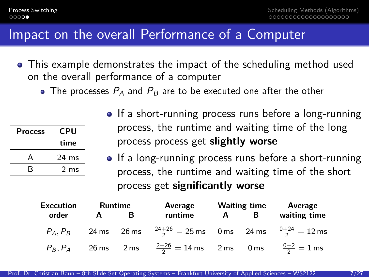#### Impact on the overall Performance of a Computer

- This example demonstrates the impact of the scheduling method used on the overall performance of a computer
	- The processes  $P_A$  and  $P_B$  are to be executed one after the other

| Process | CPU             |  |
|---------|-----------------|--|
|         | time            |  |
| А       | 24 ms           |  |
| R       | 2 <sub>ms</sub> |  |

- If a short-running process runs before a long-running process, the runtime and waiting time of the long process process get **slightly worse**
- If a long-running process runs before a short-running process, the runtime and waiting time of the short process get **significantly worse**

| <b>Execution</b> | Runtime |   | Average                                                                              | <b>Waiting time</b> |  | Average      |  |
|------------------|---------|---|--------------------------------------------------------------------------------------|---------------------|--|--------------|--|
| order            | A       | в | runtime                                                                              | A B                 |  | waiting time |  |
|                  |         |   | $P_A, P_B$ 24 ms 26 ms $\frac{24+26}{2} = 25$ ms 0 ms 24 ms $\frac{0+24}{2} = 12$ ms |                     |  |              |  |
|                  |         |   | $P_B, P_A$ 26 ms 2 ms $\frac{2+26}{2} = 14$ ms 2 ms 0 ms $\frac{0+2}{2} = 1$ ms      |                     |  |              |  |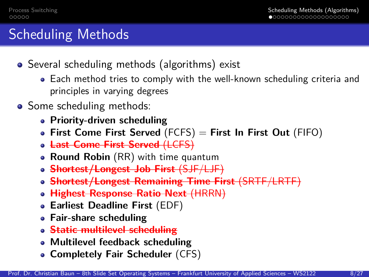# <span id="page-7-0"></span>Scheduling Methods

- Several scheduling methods (algorithms) exist
	- Each method tries to comply with the well-known scheduling criteria and principles in varying degrees
- Some scheduling methods:
	- **Priority-driven scheduling**
	- **First Come First Served** (FCFS) = **First In First Out** (FIFO)
	- **Last Come First Served** (LCFS)
	- **Round Robin** (RR) with time quantum
	- **Shortest/Longest Job First** (SJF/LJF)
	- **Shortest/Longest Remaining Time First** (SRTF/LRTF)
	- **Highest Response Ratio Next** (HRRN)
	- **Earliest Deadline First** (EDF)
	- **Fair-share scheduling**
	- **Static multilevel scheduling**
	- **Multilevel feedback scheduling**
	- **Completely Fair Scheduler** (CFS)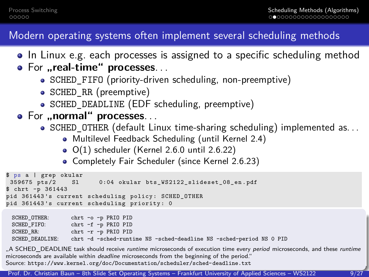#### Modern operating systems often implement several scheduling methods

- In Linux e.g. each processes is assigned to a specific scheduling method
- **•** For "real-time" processes...
	- SCHED\_FIFO (priority-driven scheduling, non-preemptive)
	- SCHED\_RR (preemptive)
	- SCHED\_DEADLINE (EDF scheduling, preemptive)
- **For ..normal" processes...** 
	- $\bullet$  SCHED OTHER (default Linux time-sharing scheduling) implemented as...
		- Multilevel Feedback Scheduling (until Kernel 2.4)
		- O(1) scheduler (Kernel 2.6.0 until 2.6.22)
		- Completely Fair Scheduler (since Kernel 2.6.23)

```
$ ps a | grep okular
                        0:04 okular bts_WS2122_slideset_08_en.pdf
$ chrt -p 361443
pid 361443 's current scheduling policy : SCHED_OTHER
pid 361443's current scheduling priority: 0
 SCHED_OTHER: chrt -o -p PRIO PID
```

```
SCHED_FIFO: chrt -f -p PRIO PID<br>SCHED RR: chrt -r -p PRIO PID
             chrt -r -p PRIO PID
SCHED_DEADLINE: chrt -d –sched-runtime NS –sched-deadline NS –sched-period NS 0 PID
```
"A SCHED\_DEADLINE task should receive runtime microseconds of execution time every period microseconds, and these runtime microseconds are available within deadline microseconds from the beginning of the period." Source: <https://www.kernel.org/doc/Documentation/scheduler/sched-deadline.txt>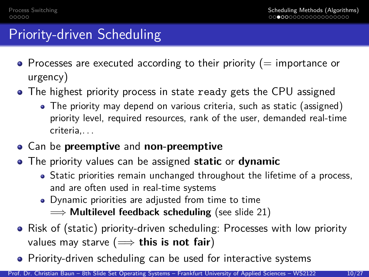## Priority-driven Scheduling

- $\bullet$  Processes are executed according to their priority (= importance or urgency)
- The highest priority process in state ready gets the CPU assigned
	- The priority may depend on various criteria, such as static (assigned) priority level, required resources, rank of the user, demanded real-time criteria,. . .
- Can be **preemptive** and **non-preemptive**
- The priority values can be assigned **static** or **dynamic**
	- Static priorities remain unchanged throughout the lifetime of a process, and are often used in real-time systems
	- Dynamic priorities are adjusted from time to time =⇒ **Multilevel feedback scheduling** (see slide 21)
- Risk of (static) priority-driven scheduling: Processes with low priority values may starve  $(\implies$  this is not fair)
- Priority-driven scheduling can be used for interactive systems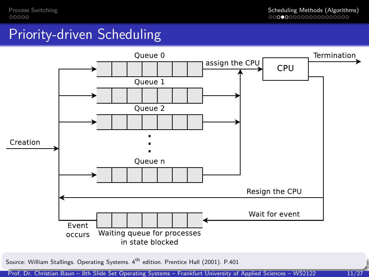### Priority-driven Scheduling



Source: William Stallings. Operating Systems. 4<sup>th</sup> edition. Prentice Hall (2001). P.401

Prof. Dr. Christian Baun – 8th Slide Set Operating Systems – Frankfurt University of Applied Sciences – WS2122 11/27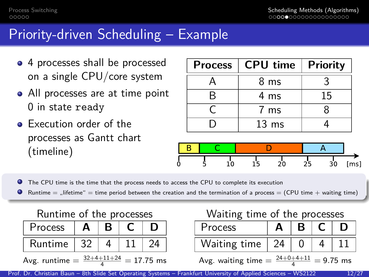### Priority-driven Scheduling – Example

- 4 processes shall be processed on a single CPU/core system
- All processes are at time point 0 in state ready
- **•** Execution order of the processes as Gantt chart (timeline)

|   | Process   CPU time   Priority |    |
|---|-------------------------------|----|
|   | 8 ms                          |    |
| R | 4 ms                          | 15 |
|   | 7 ms                          |    |
|   | $13 \text{ ms}$               |    |



0 The CPU time is the time that the process needs to access the CPU to complete its execution

0 Runtime  $=$  ... lifetime"  $=$  time period between the creation and the termination of a process  $=$  (CPU time  $+$  waiting time)



| $\sim$<br>ume: |  |  |
|----------------|--|--|

Avg. runtime  $=\frac{32+4+11+24}{4}$ <sup>4</sup> = 17*.*75 ms

#### Waiting time of the processes

| <b>Process</b> |  |  |
|----------------|--|--|
| Waiting time   |  |  |

Avg. waiting time  $=\frac{24+0+4+11}{4}$  $= 9.75$  ms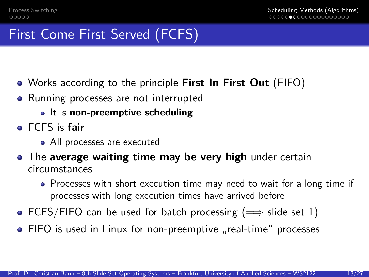## First Come First Served (FCFS)

- Works according to the principle **First In First Out** (FIFO)
- Running processes are not interrupted
	- It is **non-preemptive scheduling**
- FCFS is **fair**
	- All processes are executed
- The **average waiting time may be very high** under certain circumstances
	- Processes with short execution time may need to wait for a long time if processes with long execution times have arrived before
- FCFS/FIFO can be used for batch processing ( $\implies$  slide set 1)
- FIFO is used in Linux for non-preemptive "real-time" processes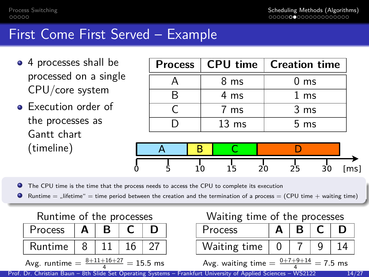### First Come First Served – Example

- 4 processes shall be processed on a single CPU/core system
- **•** Execution order of the processes as Gantt chart (timeline)

|                 | Process   CPU time   Creation time |
|-----------------|------------------------------------|
| 8 ms            | 0 <sub>ms</sub>                    |
| 4 ms            | $1 \text{ ms}$                     |
| $7 \text{ ms}$  | 3 <sub>ms</sub>                    |
| $13 \text{ ms}$ | $5 \text{ ms}$                     |



The CPU time is the time that the process needs to access the CPU to complete its execution 0

 $\bullet$ Runtime  $=$  "lifetime"  $=$  time period between the creation and the termination of a process  $=$  (CPU time  $+$  waiting time)

Runtime of the processes

| Process | А | В |  |
|---------|---|---|--|
| Runtime | 8 |   |  |

Avg. runtime  $=\frac{8+11+16+27}{4}=15.5$  ms

Waiting time of the processes

| Process      | в |  |
|--------------|---|--|
| Waiting time |   |  |

Avg. waiting time  $= \frac{0+7+9+14}{4} = 7.5$  ms

Prof. Dr. Christian Baun – 8th Slide Set Operating Systems – Frankfurt University of Applied Sciences – WS2122 14/27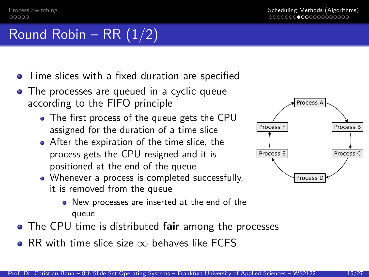[Process Switching](#page-2-0) [Scheduling Methods \(Algorithms\)](#page-7-0)

# Round Robin – RR  $(1/2)$

- **•** Time slices with a fixed duration are specified
- The processes are queued in a cyclic queue according to the FIFO principle
	- The first process of the queue gets the CPU assigned for the duration of a time slice
	- After the expiration of the time slice, the process gets the CPU resigned and it is positioned at the end of the queue
	- Whenever a process is completed successfully, it is removed from the queue



- The CPU time is distributed **fair** among the processes
- RR with time slice size  $\infty$  behaves like FCFS

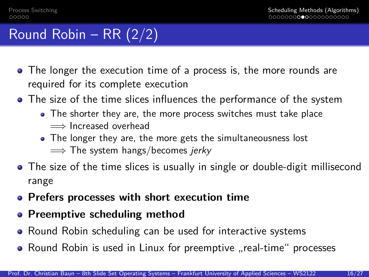# Round Robin – RR (2/2)

- The longer the execution time of a process is, the more rounds are required for its complete execution
- The size of the time slices influences the performance of the system
	- The shorter they are, the more process switches must take place  $\implies$  Increased overhead
	- The longer they are, the more gets the simultaneousness lost  $\implies$  The system hangs/becomes jerky
- The size of the time slices is usually in single or double-digit millisecond range
- **Prefers processes with short execution time**
- **Preemptive scheduling method**
- Round Robin scheduling can be used for interactive systems
- Round Robin is used in Linux for preemptive "real-time" processes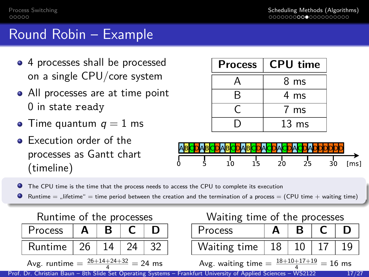#### Round Robin – Example

- 4 processes shall be processed on a single CPU/core system
- All processes are at time point 0 in state ready
- Time quantum  $q = 1$  ms
- **•** Execution order of the processes as Gantt chart (timeline)

| <b>Process</b> | <b>CPU time</b>  |
|----------------|------------------|
|                | 8 ms             |
| R              | 4 ms             |
|                | 7 ms             |
|                | 13 <sub>ms</sub> |



- $\bullet$ The CPU time is the time that the process needs to access the CPU to complete its execution
- **O** Runtime  $=$  "lifetime"  $=$  time period between the creation and the termination of a process  $=$  (CPU time  $+$  waiting time)

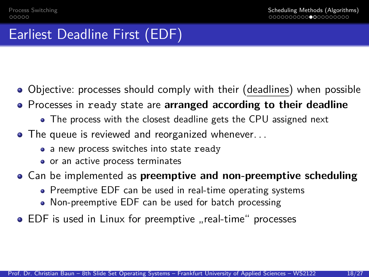# Earliest Deadline First (EDF)

- Objective: processes should comply with their (deadlines) when possible
- Processes in ready state are **arranged according to their deadline**
	- The process with the closest deadline gets the CPU assigned next
- The queue is reviewed and reorganized whenever...
	- a new process switches into state ready
	- or an active process terminates
- Can be implemented as **preemptive and non-preemptive scheduling**
	- Preemptive EDF can be used in real-time operating systems
	- Non-preemptive EDF can be used for batch processing
- EDF is used in Linux for preemptive "real-time" processes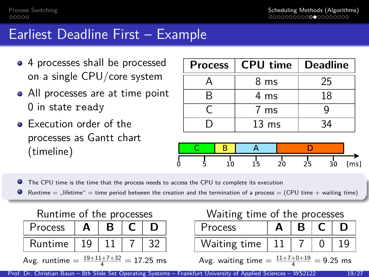### Earliest Deadline First – Example

- 4 processes shall be processed on a single CPU/core system
- All processes are at time point 0 in state ready
- **•** Execution order of the processes as Gantt chart (timeline)

| Process   CPU time   Deadline |                  |      |
|-------------------------------|------------------|------|
|                               | 8 ms             | 25   |
| R                             | 4 ms             | 18   |
|                               | 7 ms             |      |
|                               | 13 <sub>ms</sub> | - 34 |



The CPU time is the time that the process needs to access the CPU to complete its execution

0 Runtime  $=$  "lifetime"  $=$  time period between the creation and the termination of a process  $=$  (CPU time + waiting time)



Avg. runtime  $=\frac{19+11+7+32}{4}$  $= 17.25$  ms

Waiting time of the processes

| Process                                                  |  |  |  | D |  |  |
|----------------------------------------------------------|--|--|--|---|--|--|
| Waiting time                                             |  |  |  |   |  |  |
| Avg. waiting time = $\frac{11+7+0+19}{2}$<br>$= 9.25$ ms |  |  |  |   |  |  |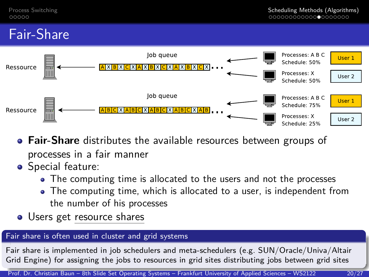# Fair-Share



- **Fair-Share** distributes the available resources between groups of processes in a fair manner
- **•** Special feature:
	- The computing time is allocated to the users and not the processes
	- The computing time, which is allocated to a user, is independent from the number of his processes
- Users get resource shares

#### Fair share is often used in cluster and grid systems

Fair share is implemented in job schedulers and meta-schedulers (e.g. SUN/Oracle/Univa/Altair Grid Engine) for assigning the jobs to resources in grid sites distributing jobs between grid sites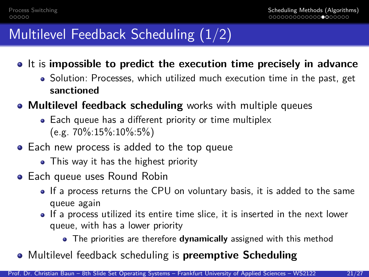# Multilevel Feedback Scheduling (1/2)

- It is **impossible to predict the execution time precisely in advance**
	- Solution: Processes, which utilized much execution time in the past, get **sanctioned**
- **Multilevel feedback scheduling** works with multiple queues
	- Each queue has a different priority or time multiplex (e.g. 70%:15%:10%:5%)
- Each new process is added to the top queue
	- This way it has the highest priority
- **•** Each queue uses Round Robin
	- If a process returns the CPU on voluntary basis, it is added to the same queue again
	- If a process utilized its entire time slice, it is inserted in the next lower queue, with has a lower priority
		- The priorities are therefore **dynamically** assigned with this method
- Multilevel feedback scheduling is **preemptive Scheduling**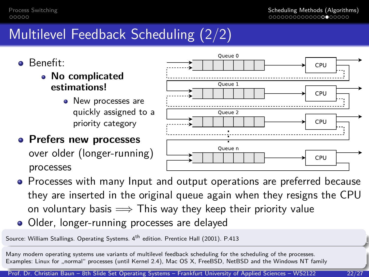# Multilevel Feedback Scheduling (2/2)

- Benefit:
	- **No complicated estimations!**
		- New processes are quickly assigned to a priority category
- **Prefers new processes** over older (longer-running) processes



- Processes with many Input and output operations are preferred because they are inserted in the original queue again when they resigns the CPU on voluntary basis  $\implies$  This way they keep their priority value
- Older, longer-running processes are delayed

Source: William Stallings. Operating Systems. 4<sup>th</sup> edition. Prentice Hall (2001). P.413

Many modern operating systems use variants of multilevel feedback scheduling for the scheduling of the processes. Examples: Linux for "normal" processes (until Kernel 2.4), Mac OS X, FreeBSD, NetBSD and the Windows NT family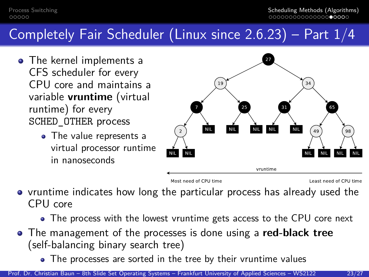# Completely Fair Scheduler (Linux since 2.6.23) – Part 1/4

- The kernel implements a CFS scheduler for every CPU core and maintains a variable **vruntime** (virtual runtime) for every SCHED\_OTHER process
	- The value represents a virtual processor runtime in nanoseconds



Most need of CPU time

Least need of CPU time

• vruntime indicates how long the particular process has already used the CPU core

• The process with the lowest vruntime gets access to the CPU core next

- The management of the processes is done using a **red-black tree** (self-balancing binary search tree)
	- The processes are sorted in the tree by their vruntime values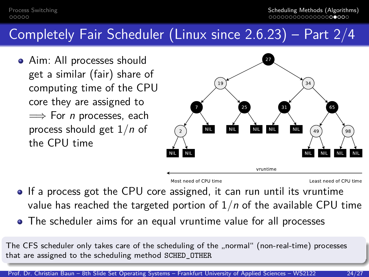## Completely Fair Scheduler (Linux since 2.6.23) – Part 2/4

• Aim: All processes should get a similar (fair) share of computing time of the CPU core they are assigned to  $\implies$  For *n* processes, each process should get 1*/*n of the CPU time



Most need of CPU time

Least need of CPU time

- If a process got the CPU core assigned, it can run until its vruntime value has reached the targeted portion of 1*/*n of the available CPU time
- The scheduler aims for an equal vruntime value for all processes

The CFS scheduler only takes care of the scheduling of the "normal" (non-real-time) processes that are assigned to the scheduling method SCHED\_OTHER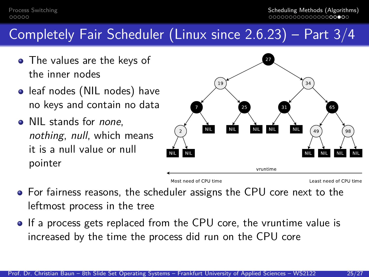## Completely Fair Scheduler (Linux since 2.6.23) – Part 3/4

- The values are the keys of the inner nodes
- leaf nodes (NIL nodes) have no keys and contain no data
- NIL stands for *none*. nothing, null, which means it is a null value or null pointer



- For fairness reasons, the scheduler assigns the CPU core next to the leftmost process in the tree
- If a process gets replaced from the CPU core, the vruntime value is increased by the time the process did run on the CPU core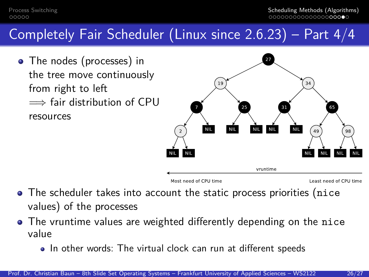# Completely Fair Scheduler (Linux since 2.6.23) – Part 4/4

• The nodes (processes) in the tree move continuously from right to left  $\implies$  fair distribution of CPU resources



- The scheduler takes into account the static process priorities (nice values) of the processes
- The vruntime values are weighted differently depending on the nice value
	- In other words: The virtual clock can run at different speeds